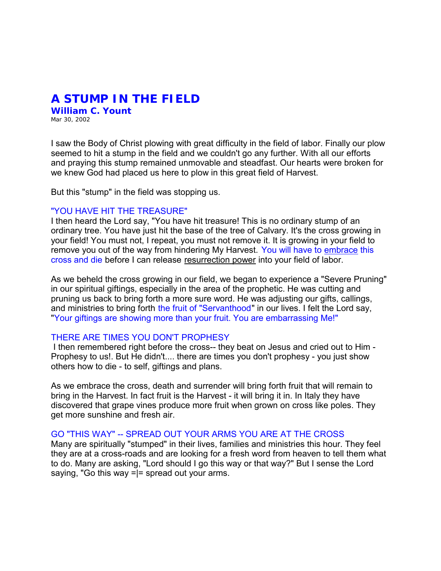## **A STUMP IN THE FIELD**

**William C. Yount** Mar 30, 2002

I saw the Body of Christ plowing with great difficulty in the field of labor. Finally our plow seemed to hit a stump in the field and we couldn't go any further. With all our efforts and praying this stump remained unmovable and steadfast. Our hearts were broken for we knew God had placed us here to plow in this great field of Harvest.

But this "stump" in the field was stopping us.

## "YOU HAVE HIT THE TREASURE"

I then heard the Lord say, "You have hit treasure! This is no ordinary stump of an ordinary tree. You have just hit the base of the tree of Calvary. It's the cross growing in your field! You must not, I repeat, you must not remove it. It is growing in your field to remove you out of the way from hindering My Harvest. You will have to embrace this cross and die before I can release resurrection power into your field of labor.

As we beheld the cross growing in our field, we began to experience a "Severe Pruning" in our spiritual giftings, especially in the area of the prophetic. He was cutting and pruning us back to bring forth a more sure word. He was adjusting our gifts, callings, and ministries to bring forth the fruit of "Servanthood" in our lives. I felt the Lord say, "Your giftings are showing more than your fruit. You are embarrassing Me!"

## THERE ARE TIMES YOU DON'T PROPHESY

 I then remembered right before the cross-- they beat on Jesus and cried out to Him - Prophesy to us!. But He didn't.... there are times you don't prophesy - you just show others how to die - to self, giftings and plans.

As we embrace the cross, death and surrender will bring forth fruit that will remain to bring in the Harvest. In fact fruit is the Harvest - it will bring it in. In Italy they have discovered that grape vines produce more fruit when grown on cross like poles. They get more sunshine and fresh air.

## GO "THIS WAY" -- SPREAD OUT YOUR ARMS YOU ARE AT THE CROSS

Many are spiritually "stumped" in their lives, families and ministries this hour. They feel they are at a cross-roads and are looking for a fresh word from heaven to tell them what to do. Many are asking, "Lord should I go this way or that way?" But I sense the Lord saying, "Go this way  $=$   $=$  spread out your arms.